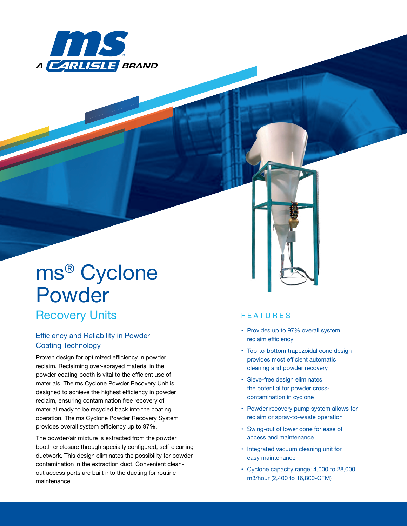

# *ms*® Cyclone Powder

## Recovery Units

### **Efficiency and Reliability in Powder Coating Technology**

**Proven design for optimized efficiency in powder reclaim.** Reclaiming over-sprayed material in the powder coating booth is vital to the efficient use of materials. The *ms* Cyclone Powder Recovery Unit is designed to achieve the highest efficiency in powder reclaim, ensuring contamination free recovery of material ready to be recycled back into the coating operation. The *ms* Cyclone Powder Recovery System provides overall system efficiency up to 97%.

The powder/air mixture is extracted from the powder booth enclosure through specially configured, self-cleaning ductwork. This design eliminates the possibility for powder contamination in the extraction duct. Convenient cleanout access ports are built into the ducting for routine maintenance.

#### **FEATURES**

- Provides up to 97% overall system reclaim efficiency
- Top-to-bottom trapezoidal cone design provides most efficient automatic cleaning and powder recovery
- • Sieve-free design eliminates the potential for powder crosscontamination in cyclone
- Powder recovery pump system allows for reclaim or spray-to-waste operation
- • Swing-out of lower cone for ease of access and maintenance
- • Integrated vacuum cleaning unit for easy maintenance
- • Cyclone capacity range: 4,000 to 28,000 m3/hour (2,400 to 16,800-CFM)